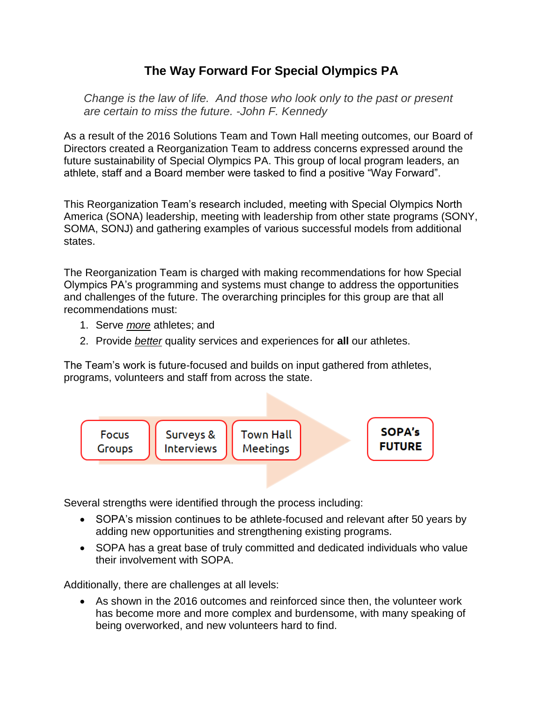## **The Way Forward For Special Olympics PA**

*Change is the law of life. And those who look only to the past or present are certain to miss the future. -John F. Kennedy*

As a result of the 2016 Solutions Team and Town Hall meeting outcomes, our Board of Directors created a Reorganization Team to address concerns expressed around the future sustainability of Special Olympics PA. This group of local program leaders, an athlete, staff and a Board member were tasked to find a positive "Way Forward".

This Reorganization Team's research included, meeting with Special Olympics North America (SONA) leadership, meeting with leadership from other state programs (SONY, SOMA, SONJ) and gathering examples of various successful models from additional states.

The Reorganization Team is charged with making recommendations for how Special Olympics PA's programming and systems must change to address the opportunities and challenges of the future. The overarching principles for this group are that all recommendations must:

- 1. Serve *more* athletes; and
- 2. Provide *better* quality services and experiences for **all** our athletes.

The Team's work is future-focused and builds on input gathered from athletes, programs, volunteers and staff from across the state.



Several strengths were identified through the process including:

- SOPA's mission continues to be athlete-focused and relevant after 50 years by adding new opportunities and strengthening existing programs.
- SOPA has a great base of truly committed and dedicated individuals who value their involvement with SOPA.

Additionally, there are challenges at all levels:

 As shown in the 2016 outcomes and reinforced since then, the volunteer work has become more and more complex and burdensome, with many speaking of being overworked, and new volunteers hard to find.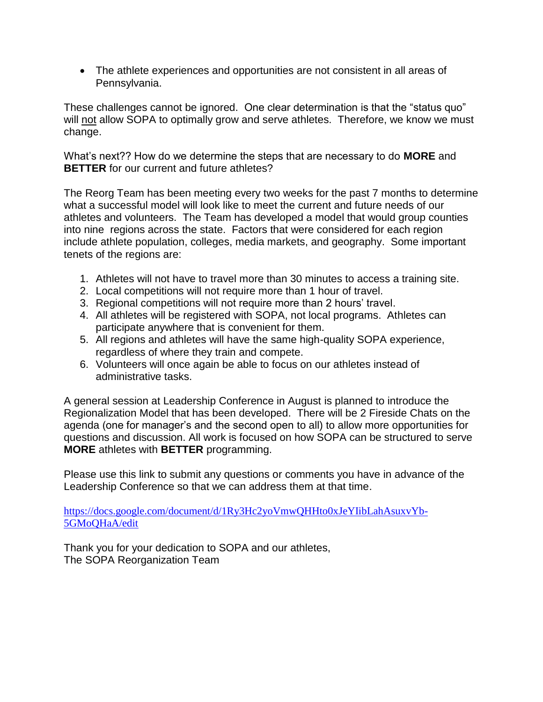The athlete experiences and opportunities are not consistent in all areas of Pennsylvania.

These challenges cannot be ignored. One clear determination is that the "status quo" will not allow SOPA to optimally grow and serve athletes. Therefore, we know we must change.

What's next?? How do we determine the steps that are necessary to do **MORE** and **BETTER** for our current and future athletes?

The Reorg Team has been meeting every two weeks for the past 7 months to determine what a successful model will look like to meet the current and future needs of our athletes and volunteers. The Team has developed a model that would group counties into nine regions across the state. Factors that were considered for each region include athlete population, colleges, media markets, and geography. Some important tenets of the regions are:

- 1. Athletes will not have to travel more than 30 minutes to access a training site.
- 2. Local competitions will not require more than 1 hour of travel.
- 3. Regional competitions will not require more than 2 hours' travel.
- 4. All athletes will be registered with SOPA, not local programs. Athletes can participate anywhere that is convenient for them.
- 5. All regions and athletes will have the same high-quality SOPA experience, regardless of where they train and compete.
- 6. Volunteers will once again be able to focus on our athletes instead of administrative tasks.

A general session at Leadership Conference in August is planned to introduce the Regionalization Model that has been developed. There will be 2 Fireside Chats on the agenda (one for manager's and the second open to all) to allow more opportunities for questions and discussion. All work is focused on how SOPA can be structured to serve **MORE** athletes with **BETTER** programming.

Please use this link to submit any questions or comments you have in advance of the Leadership Conference so that we can address them at that time.

[https://docs.google.com/document/d/1Ry3Hc2yoVmwQHHto0xJeYIibLahAsuxvYb-](https://docs.google.com/document/d/1Ry3Hc2yoVmwQHHto0xJeYIibLahAsuxvYb-5GMoQHaA/edit)[5GMoQHaA/edit](https://docs.google.com/document/d/1Ry3Hc2yoVmwQHHto0xJeYIibLahAsuxvYb-5GMoQHaA/edit)

Thank you for your dedication to SOPA and our athletes, The SOPA Reorganization Team